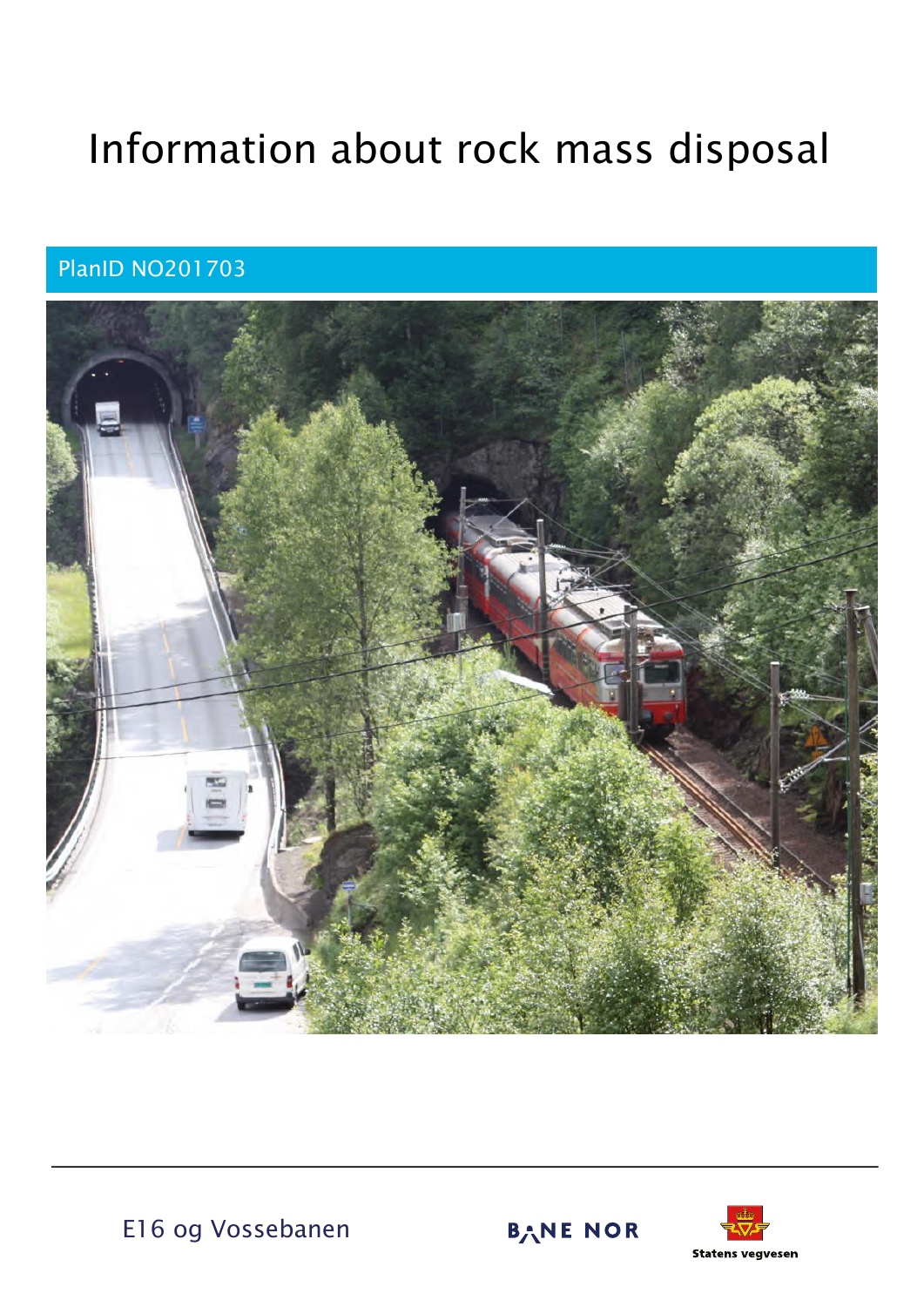# Information about rock mass disposal

## PlanID NO201703





E16 og Vossebanen

BANE NOR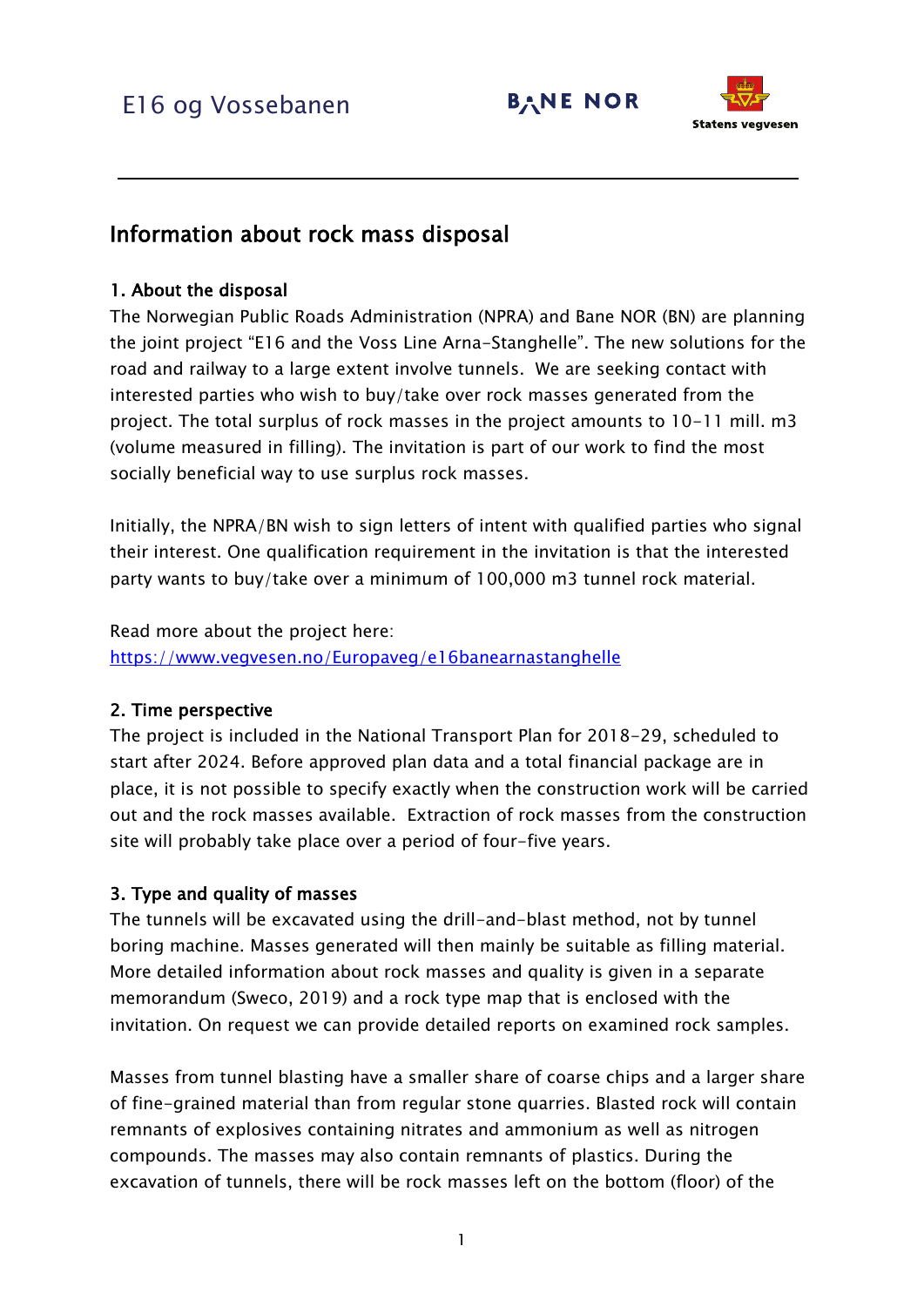

### Information about rock mass disposal

#### 1. About the disposal

 $\ddot{\phantom{0}}$ 

The Norwegian Public Roads Administration (NPRA) and Bane NOR (BN) are planning the joint project "E16 and the Voss Line Arna-Stanghelle". The new solutions for the road and railway to a large extent involve tunnels. We are seeking contact with interested parties who wish to buy/take over rock masses generated from the project. The total surplus of rock masses in the project amounts to 10-11 mill. m3 (volume measured in filling). The invitation is part of our work to find the most socially beneficial way to use surplus rock masses.

Initially, the NPRA/BN wish to sign letters of intent with qualified parties who signal their interest. One qualification requirement in the invitation is that the interested party wants to buy/take over a minimum of 100,000 m3 tunnel rock material.

Read more about the project here: <https://www.vegvesen.no/Europaveg/e16banearnastanghelle>

#### 2. Time perspective

The project is included in the National Transport Plan for 2018-29, scheduled to start after 2024. Before approved plan data and a total financial package are in place, it is not possible to specify exactly when the construction work will be carried out and the rock masses available. Extraction of rock masses from the construction site will probably take place over a period of four-five years.

#### 3. Type and quality of masses

The tunnels will be excavated using the drill-and-blast method, not by tunnel boring machine. Masses generated will then mainly be suitable as filling material. More detailed information about rock masses and quality is given in a separate memorandum (Sweco, 2019) and a rock type map that is enclosed with the invitation. On request we can provide detailed reports on examined rock samples.

Masses from tunnel blasting have a smaller share of coarse chips and a larger share of fine-grained material than from regular stone quarries. Blasted rock will contain remnants of explosives containing nitrates and ammonium as well as nitrogen compounds. The masses may also contain remnants of plastics. During the excavation of tunnels, there will be rock masses left on the bottom (floor) of the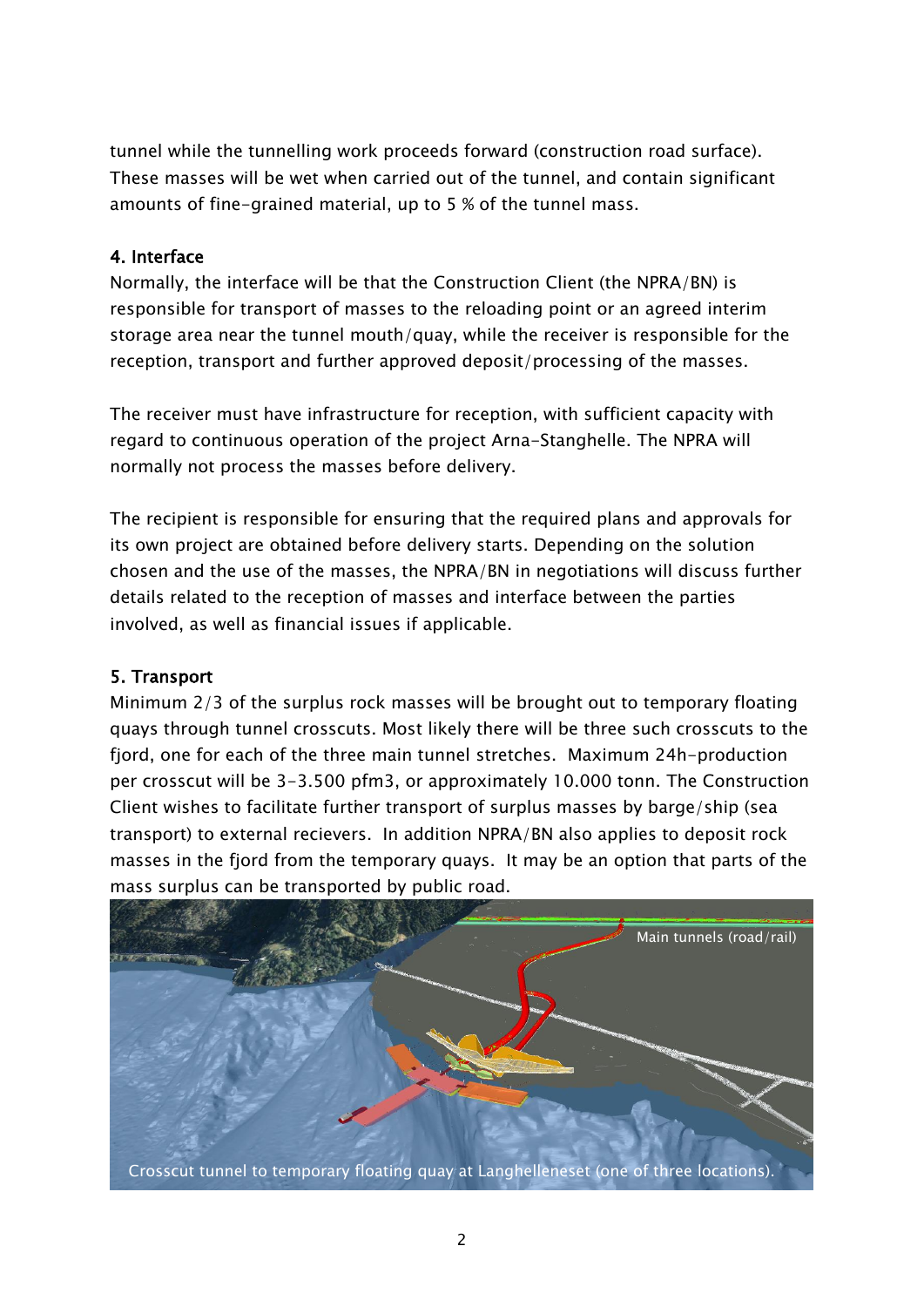tunnel while the tunnelling work proceeds forward (construction road surface). These masses will be wet when carried out of the tunnel, and contain significant amounts of fine-grained material, up to 5 % of the tunnel mass.

#### 4. Interface

Normally, the interface will be that the Construction Client (the NPRA/BN) is responsible for transport of masses to the reloading point or an agreed interim storage area near the tunnel mouth/quay, while the receiver is responsible for the reception, transport and further approved deposit/processing of the masses.

The receiver must have infrastructure for reception, with sufficient capacity with regard to continuous operation of the project Arna-Stanghelle. The NPRA will normally not process the masses before delivery.

The recipient is responsible for ensuring that the required plans and approvals for its own project are obtained before delivery starts. Depending on the solution chosen and the use of the masses, the NPRA/BN in negotiations will discuss further details related to the reception of masses and interface between the parties involved, as well as financial issues if applicable.

#### 5. Transport

Minimum 2/3 of the surplus rock masses will be brought out to temporary floating quays through tunnel crosscuts. Most likely there will be three such crosscuts to the fjord, one for each of the three main tunnel stretches. Maximum 24h-production per crosscut will be 3-3.500 pfm3, or approximately 10.000 tonn. The Construction recommences<br>Client wishes to facilitate further transport of surplus masses by barge/ship (sea transport) to external recievers. In addition NPRA/BN also applies to deposit rock masses in the fjord from the temporary quays. It may be an option that parts of the mass surplus can be transported by public road.

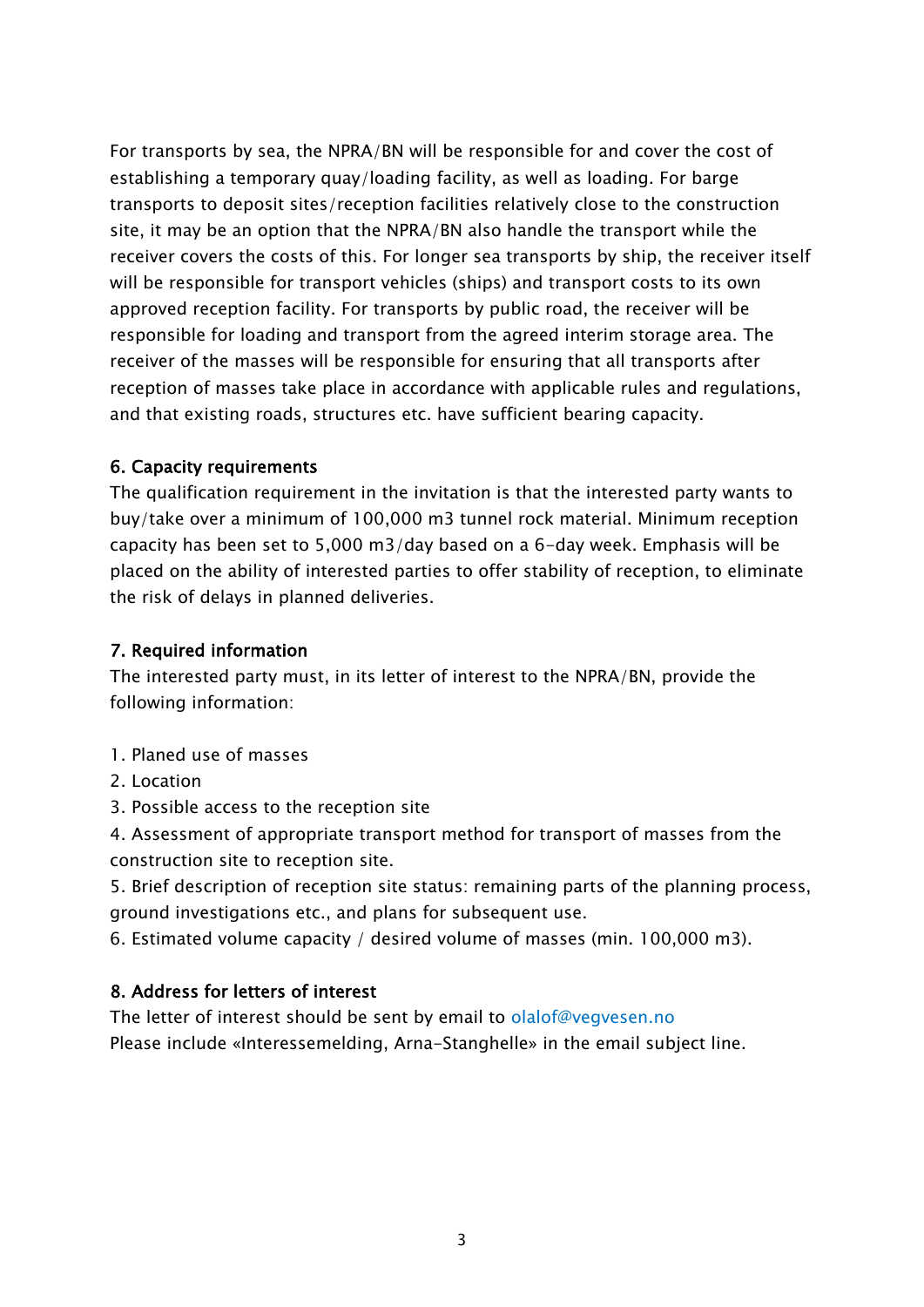For transports by sea, the NPRA/BN will be responsible for and cover the cost of establishing a temporary quay/loading facility, as well as loading. For barge transports to deposit sites/reception facilities relatively close to the construction site, it may be an option that the NPRA/BN also handle the transport while the receiver covers the costs of this. For longer sea transports by ship, the receiver itself will be responsible for transport vehicles (ships) and transport costs to its own approved reception facility. For transports by public road, the receiver will be responsible for loading and transport from the agreed interim storage area. The receiver of the masses will be responsible for ensuring that all transports after reception of masses take place in accordance with applicable rules and regulations, and that existing roads, structures etc. have sufficient bearing capacity.

#### 6. Capacity requirements

The qualification requirement in the invitation is that the interested party wants to buy/take over a minimum of 100,000 m3 tunnel rock material. Minimum reception capacity has been set to 5,000 m3/day based on a 6-day week. Emphasis will be placed on the ability of interested parties to offer stability of reception, to eliminate the risk of delays in planned deliveries.

#### 7. Required information

The interested party must, in its letter of interest to the NPRA/BN, provide the following information:

- 1. Planed use of masses
- 2. Location
- 3. Possible access to the reception site

4. Assessment of appropriate transport method for transport of masses from the construction site to reception site.

5. Brief description of reception site status: remaining parts of the planning process, ground investigations etc., and plans for subsequent use.

6. Estimated volume capacity / desired volume of masses (min. 100,000 m3).

#### 8. Address for letters of interest

The letter of interest should be sent by email to olalof@vegvesen.no Please include «Interessemelding, Arna-Stanghelle» in the email subject line.